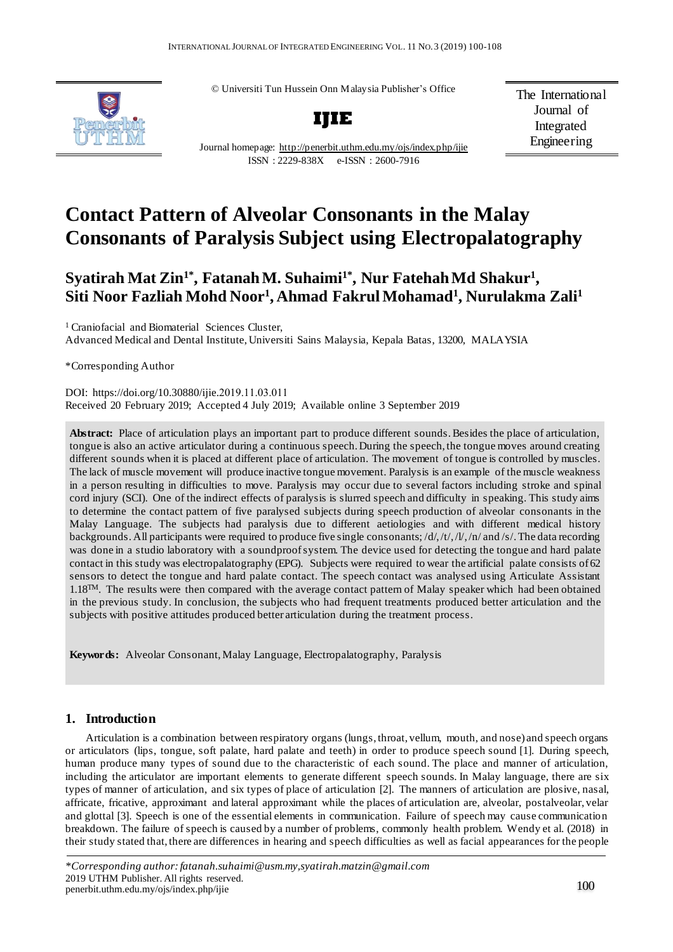© Universiti Tun Hussein Onn Malaysia Publisher's Office



**IJIE**

The International Journal of Integrated Engineering

Journal homepage: <http://penerbit.uthm.edu.my/ojs/index.php/ijie> ISSN : 2229-838X e-ISSN : 2600-7916

# **Contact Pattern of Alveolar Consonants in the Malay Consonants of Paralysis Subject using Electropalatography**

# **Syatirah Mat Zin1\*, Fatanah M. Suhaimi1\*, Nur Fatehah Md Shakur<sup>1</sup> , Siti Noor Fazliah Mohd Noor<sup>1</sup> , Ahmad Fakrul Mohamad<sup>1</sup> , Nurulakma Zali<sup>1</sup>**

<sup>1</sup> Craniofacial and Biomaterial Sciences Cluster, Advanced Medical and Dental Institute, Universiti Sains Malaysia, Kepala Batas, 13200, MALAYSIA

\*Corresponding Author

DOI: https://doi.org/10.30880/ijie.2019.11.03.011 Received 20 February 2019; Accepted 4 July 2019; Available online 3 September 2019

**Abstract:** Place of articulation plays an important part to produce different sounds.Besides the place of articulation, tongue is also an active articulator during a continuous speech. During the speech, the tongue moves around creating different sounds when it is placed at different place of articulation. The movement of tongue is controlled by muscles. The lack of muscle movement will produce inactive tongue movement. Paralysis is an example of the muscle weakness in a person resulting in difficulties to move. Paralysis may occur due to several factors including stroke and spinal cord injury (SCI). One of the indirect effects of paralysis is slurred speech and difficulty in speaking. This study aims to determine the contact pattern of five paralysed subjects during speech production of alveolar consonants in the Malay Language. The subjects had paralysis due to different aetiologies and with different medical history backgrounds. All participants were required to produce five single consonants; /d/,/t/,/l/,/n/ and/s/. The data recording was done in a studio laboratory with a soundproofsystem. The device used for detecting the tongue and hard palate contact in this study was electropalatography (EPG). Subjects were required to wear the artificial palate consists of 62 sensors to detect the tongue and hard palate contact. The speech contact was analysed using Articulate Assistant 1.18TM. The results were then compared with the average contact pattern of Malay speaker which had been obtained in the previous study. In conclusion, the subjects who had frequent treatments produced better articulation and the subjects with positive attitudes produced better articulation during the treatment process.

**Keywords:** Alveolar Consonant, Malay Language, Electropalatography, Paralysis

# **1. Introduction**

Articulation is a combination between respiratory organs (lungs, throat, vellum, mouth, and nose) and speech organs or articulators (lips, tongue, soft palate, hard palate and teeth) in order to produce speech sound [1]. During speech, human produce many types of sound due to the characteristic of each sound. The place and manner of articulation, including the articulator are important elements to generate different speech sounds. In Malay language, there are six types of manner of articulation, and six types of place of articulation [2]. The manners of articulation are plosive, nasal, affricate, fricative, approximant and lateral approximant while the places of articulation are, alveolar, postalveolar, velar and glottal [3]. Speech is one of the essential elements in communication. Failure of speech may cause communication breakdown. The failure of speech is caused by a number of problems, commonly health problem. Wendy et al. (2018) in their study stated that, there are differences in hearing and speech difficulties as well as facial appearances for the people

*<sup>\*</sup>Corresponding author: fatanah.suhaimi@usm.my,syatirah.matzin@gmail.com* 2019 UTHM Publisher. All rights reserved.  $p = 100$  penerbit.uthm.edu.my/ojs/index.php/ijie 100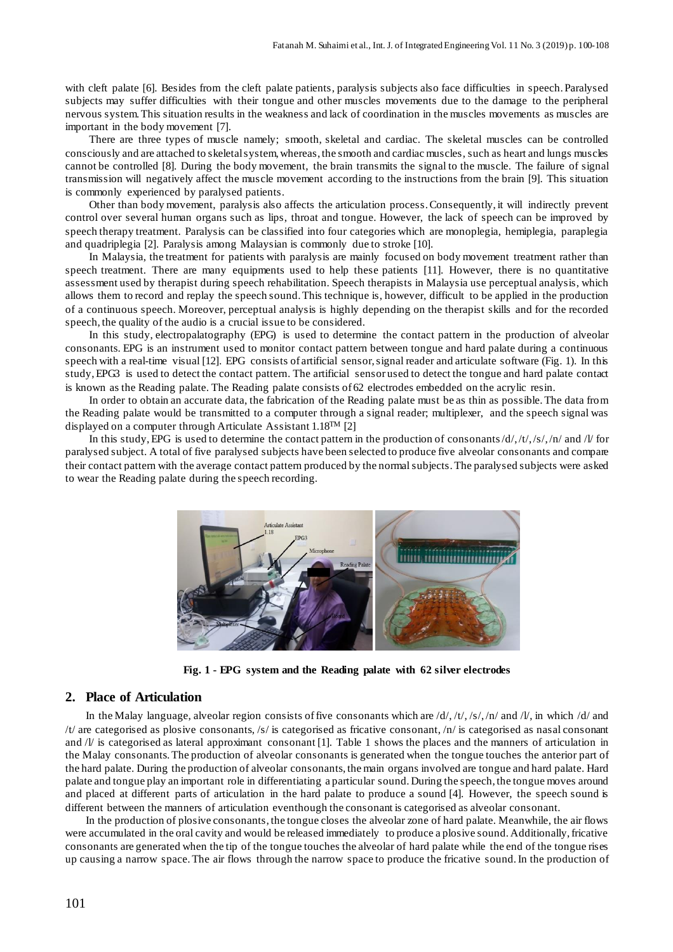with cleft palate [6]. Besides from the cleft palate patients, paralysis subjects also face difficulties in speech. Paralysed subjects may suffer difficulties with their tongue and other muscles movements due to the damage to the peripheral nervous system.This situation results in the weakness and lack of coordination in the muscles movements as muscles are important in the body movement [7].

There are three types of muscle namely; smooth, skeletal and cardiac. The skeletal muscles can be controlled consciously and are attached to skeletalsystem,whereas, the smooth and cardiac muscles, such as heart and lungs muscles cannot be controlled [8]. During the body movement, the brain transmits the signal to the muscle. The failure of signal transmission will negatively affect the muscle movement according to the instructions from the brain [9]. This situation is commonly experienced by paralysed patients.

Other than body movement, paralysis also affects the articulation process.Consequently, it will indirectly prevent control over several human organs such as lips, throat and tongue. However, the lack of speech can be improved by speech therapy treatment. Paralysis can be classified into four categories which are monoplegia, hemiplegia, paraplegia and quadriplegia [2]. Paralysis among Malaysian is commonly due to stroke [10].

In Malaysia, the treatment for patients with paralysis are mainly focused on body movement treatment rather than speech treatment. There are many equipments used to help these patients [11]. However, there is no quantitative assessment used by therapist during speech rehabilitation. Speech therapists in Malaysia use perceptual analysis, which allows them to record and replay the speech sound.This technique is, however, difficult to be applied in the production of a continuous speech. Moreover, perceptual analysis is highly depending on the therapist skills and for the recorded speech, the quality of the audio is a crucial issue to be considered.

In this study, electropalatography (EPG) is used to determine the contact pattern in the production of alveolar consonants. EPG is an instrument used to monitor contact pattern between tongue and hard palate during a continuous speech with a real-time visual [12]. EPG consists of artificial sensor,signal reader and articulate software (Fig. 1). In this study,EPG3 is used to detect the contact pattern. The artificial sensor used to detect the tongue and hard palate contact is known as the Reading palate. The Reading palate consists of 62 electrodes embedded on the acrylic resin.

In order to obtain an accurate data, the fabrication of the Reading palate must be as thin as possible.The data from the Reading palate would be transmitted to a computer through a signal reader; multiplexer, and the speech signal was displayed on a computer through Articulate Assistant 1.18TM [2]

In this study, EPG is used to determine the contact pattern in the production of consonants/d/,/t/,/s/,/n/ and /l/ for paralysed subject. A total of five paralysed subjects have been selected to produce five alveolar consonants and compare their contact pattern with the average contact pattern produced by the normalsubjects.The paralysed subjects were asked to wear the Reading palate during the speech recording.



**Fig. 1 - EPG system and the Reading palate with 62 silver electrodes**

## **2. Place of Articulation**

In the Malay language, alveolar region consists of five consonants which are  $\frac{d}{f}$ ,  $\frac{t}{f}$ ,  $\frac{s}{f}$ ,  $\frac{s}{f}$  and  $\frac{d}{s}$  and  $\frac{d}{s}$  and /t/ are categorised as plosive consonants, /s/ is categorised as fricative consonant, /n/ is categorised as nasal consonant and  $\sqrt{l}$  is categorised as lateral approximant consonant [1]. Table 1 shows the places and the manners of articulation in the Malay consonants.The production of alveolar consonants is generated when the tongue touches the anterior part of the hard palate. During the production of alveolar consonants, the main organs involved are tongue and hard palate. Hard palate and tongue play an important role in differentiating a particular sound.During the speech, the tongue moves around and placed at different parts of articulation in the hard palate to produce a sound [4]. However, the speech sound is different between the manners of articulation eventhough the consonant is categorised as alveolar consonant.

In the production of plosive consonants, the tongue closes the alveolar zone of hard palate. Meanwhile, the air flows were accumulated in the oral cavity and would be released immediately to produce a plosive sound. Additionally, fricative consonants are generated when the tip of the tongue touches the alveolar of hard palate while the end of the tongue rises up causing a narrow space.The air flows through the narrow space to produce the fricative sound.In the production of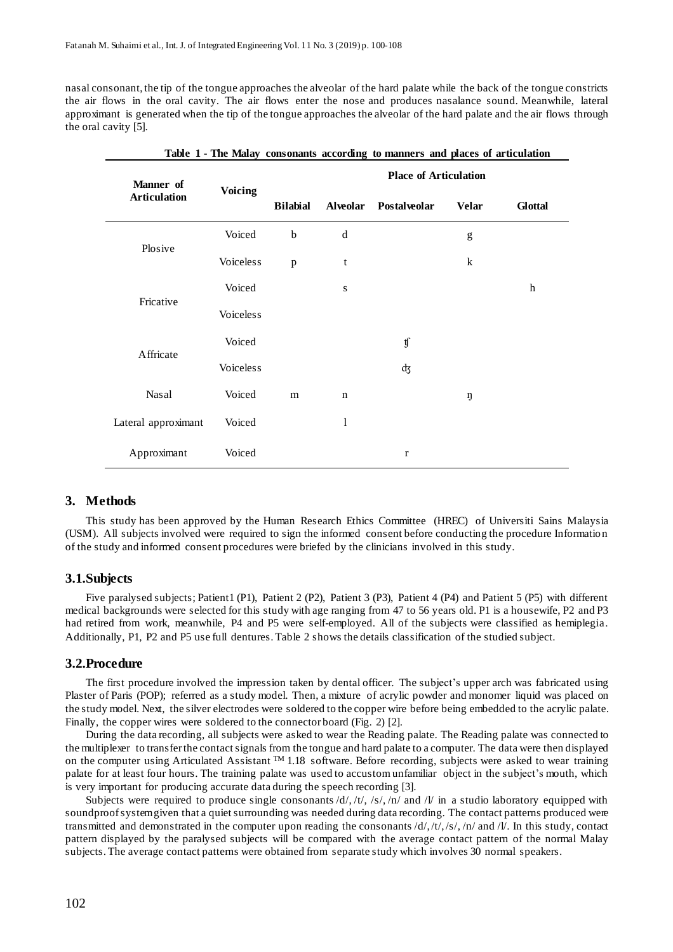nasal consonant, the tip of the tongue approaches the alveolar of the hard palate while the back of the tongue constricts the air flows in the oral cavity. The air flows enter the nose and produces nasalance sound. Meanwhile, lateral approximant is generated when the tip of the tongue approaches the alveolar of the hard palate and the air flows through the oral cavity [5].

| Manner of<br><b>Articulation</b> | <b>Voicing</b>   | <b>Place of Articulation</b> |             |                       |                                                                                                                                                                                                                                                                                                                                                                                                                                |                  |  |
|----------------------------------|------------------|------------------------------|-------------|-----------------------|--------------------------------------------------------------------------------------------------------------------------------------------------------------------------------------------------------------------------------------------------------------------------------------------------------------------------------------------------------------------------------------------------------------------------------|------------------|--|
|                                  |                  | <b>Bilabial</b>              |             | Alveolar Postalveolar | <b>Velar</b>                                                                                                                                                                                                                                                                                                                                                                                                                   | <b>Glottal</b>   |  |
| Plosive                          | Voiced           | $\bf b$                      | d           |                       | $\mathbf{g}% _{T}=\mathbf{g}_{T}=\mathbf{g}_{T}=\mathbf{g}_{T}=\mathbf{g}_{T}=\mathbf{g}_{T}=\mathbf{g}_{T}=\mathbf{g}_{T}=\mathbf{g}_{T}=\mathbf{g}_{T}=\mathbf{g}_{T}=\mathbf{g}_{T}=\mathbf{g}_{T}=\mathbf{g}_{T}=\mathbf{g}_{T}=\mathbf{g}_{T}=\mathbf{g}_{T}=\mathbf{g}_{T}=\mathbf{g}_{T}=\mathbf{g}_{T}=\mathbf{g}_{T}=\mathbf{g}_{T}=\mathbf{g}_{T}=\mathbf{g}_{T}=\mathbf{g}_{T}=\mathbf{g}_{T}=\mathbf{g}_{T}=\math$ |                  |  |
|                                  | Voiceless        | $\mathbf{p}$                 | t           |                       | $\bf k$                                                                                                                                                                                                                                                                                                                                                                                                                        |                  |  |
| Fricative                        | Voiced           |                              | ${\bf S}$   |                       |                                                                                                                                                                                                                                                                                                                                                                                                                                | $\boldsymbol{h}$ |  |
|                                  | <b>Voiceless</b> |                              |             |                       |                                                                                                                                                                                                                                                                                                                                                                                                                                |                  |  |
| Affricate                        | Voiced           |                              |             | $\mathfrak{y}$        |                                                                                                                                                                                                                                                                                                                                                                                                                                |                  |  |
|                                  | <b>Voiceless</b> |                              |             | фz                    |                                                                                                                                                                                                                                                                                                                                                                                                                                |                  |  |
| Nasal                            | Voiced           | m                            | $\mathbf n$ |                       | ŋ                                                                                                                                                                                                                                                                                                                                                                                                                              |                  |  |
| Lateral approximant              | Voiced           |                              | 1           |                       |                                                                                                                                                                                                                                                                                                                                                                                                                                |                  |  |
| Approximant                      | Voiced           |                              |             | $\mathbf r$           |                                                                                                                                                                                                                                                                                                                                                                                                                                |                  |  |

|  | Table 1 - The Malay consonants according to manners and places of articulation |  |  |
|--|--------------------------------------------------------------------------------|--|--|
|--|--------------------------------------------------------------------------------|--|--|

#### **3. Methods**

This study has been approved by the Human Research Ethics Committee (HREC) of Universiti Sains Malaysia (USM). All subjects involved were required to sign the informed consent before conducting the procedure Information of the study and informed consent procedures were briefed by the clinicians involved in this study.

#### **3.1.Subjects**

Five paralysed subjects; Patient1 (P1), Patient 2 (P2), Patient 3 (P3), Patient 4 (P4) and Patient 5 (P5) with different medical backgrounds were selected for this study with age ranging from 47 to 56 years old. P1 is a housewife, P2 and P3 had retired from work, meanwhile, P4 and P5 were self-employed. All of the subjects were classified as hemiplegia. Additionally, P1, P2 and P5 use full dentures.Table 2 shows the details classification of the studied subject.

#### **3.2.Procedure**

The first procedure involved the impression taken by dental officer. The subject's upper arch was fabricated using Plaster of Paris (POP); referred as a study model. Then, a mixture of acrylic powder and monomer liquid was placed on the study model. Next, the silver electrodes were soldered to the copper wire before being embedded to the acrylic palate. Finally, the copper wires were soldered to the connector board (Fig. 2) [2].

During the data recording, all subjects were asked to wear the Reading palate. The Reading palate was connected to the multiplexer to transferthe contactsignals from the tongue and hard palate to a computer. The data were then displayed on the computer using Articulated Assistant  $TM$  1.18 software. Before recording, subjects were asked to wear training palate for at least four hours. The training palate was used to accustom unfamiliar object in the subject's mouth, which is very important for producing accurate data during the speech recording [3].

Subjects were required to produce single consonants  $\frac{d}{f}$ ,  $\frac{t}{f}$ ,  $\frac{f}{f}$ ,  $\frac{f}{f}$  and  $\frac{f}{f}$  in a studio laboratory equipped with soundproof system given that a quiet surrounding was needed during data recording. The contact patterns produced were transmitted and demonstrated in the computer upon reading the consonants  $\frac{d}{f_1}$ ,  $\frac{d}{f_2}$ ,  $\frac{d}{f_1}$ ,  $\frac{d}{f_2}$ ,  $\frac{d}{f_1}$  and  $\frac{d}{f_2}$ . In this study, contact pattern displayed by the paralysed subjects will be compared with the average contact pattern of the normal Malay subjects.The average contact patterns were obtained from separate study which involves 30 normal speakers.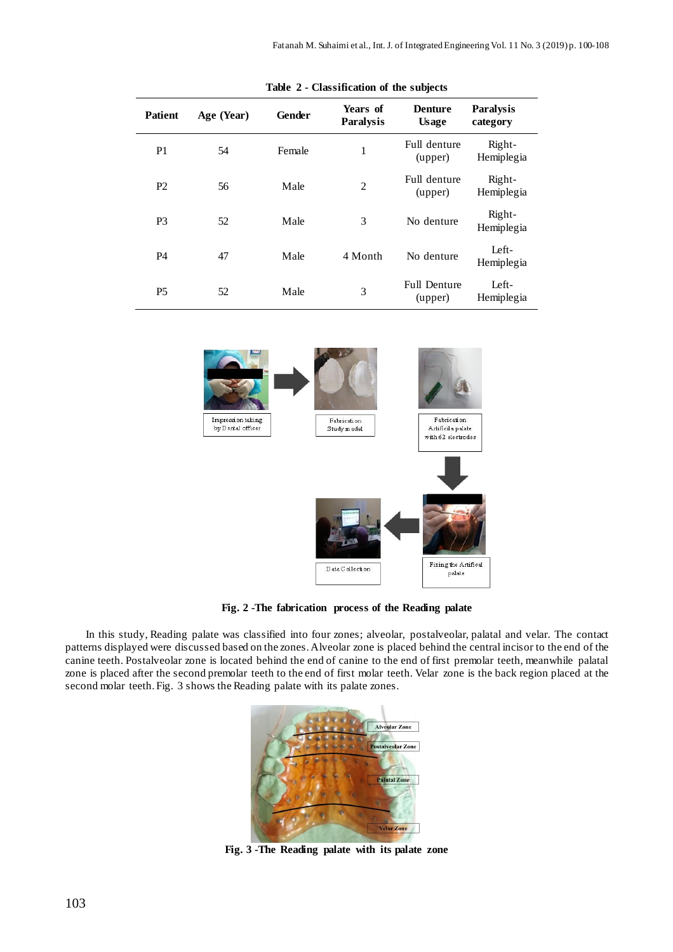| <b>Patient</b> | Age (Year) | Gender | Years of<br><b>Paralysis</b> | <b>Denture</b><br><b>Usage</b> | <b>Paralysis</b><br>category |
|----------------|------------|--------|------------------------------|--------------------------------|------------------------------|
| P <sub>1</sub> | 54         | Female | 1                            | Full denture<br>(upper)        | Right-<br>Hemiplegia         |
| P <sub>2</sub> | 56         | Male   | $\overline{2}$               | Full denture<br>(upper)        | Right-<br>Hemiplegia         |
| P <sub>3</sub> | 52         | Male   | 3                            | No denture                     | Right-<br>Hemiplegia         |
| <b>P4</b>      | 47         | Male   | 4 Month                      | No denture                     | Left-<br>Hemiplegia          |
| P <sub>5</sub> | 52         | Male   | 3                            | <b>Full Denture</b><br>(upper) | Left-<br>Hemiplegia          |

**Table 2 - Classification of the subjects**



**Fig. 2 -The fabrication process of the Reading palate**

In this study, Reading palate was classified into four zones; alveolar, postalveolar, palatal and velar. The contact patterns displayed were discussed based on the zones.Alveolar zone is placed behind the central incisor to the end of the canine teeth. Postalveolar zone is located behind the end of canine to the end of first premolar teeth, meanwhile palatal zone is placed after the second premolar teeth to the end of first molar teeth. Velar zone is the back region placed at the second molar teeth. Fig. 3 shows the Reading palate with its palate zones.



**Fig. 3 -The Reading palate with its palate zone**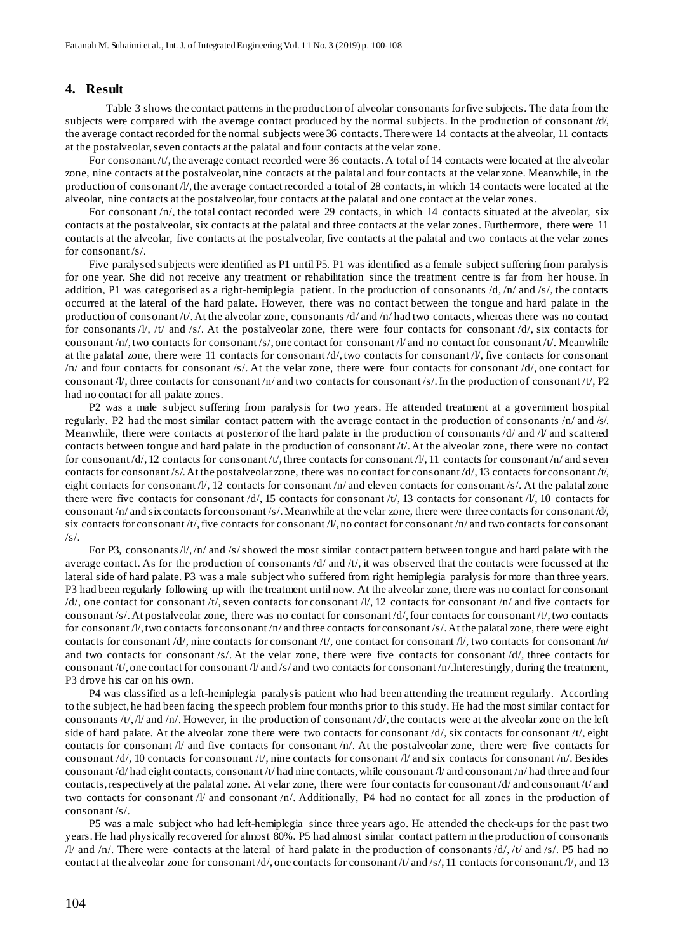#### **4. Result**

Table 3 shows the contact patterns in the production of alveolar consonants forfive subjects. The data from the subjects were compared with the average contact produced by the normal subjects. In the production of consonant  $d\theta$ , the average contact recorded for the normal subjects were 36 contacts.There were 14 contacts at the alveolar, 11 contacts at the postalveolar, seven contacts at the palatal and four contacts at the velar zone.

For consonant  $/t/$ , the average contact recorded were 36 contacts. A total of 14 contacts were located at the alveolar zone, nine contacts at the postalveolar, nine contacts at the palatal and four contacts at the velar zone. Meanwhile, in the production of consonant /l/, the average contact recorded a total of 28 contacts, in which 14 contacts were located at the alveolar, nine contacts at the postalveolar, four contacts at the palatal and one contact at the velar zones.

For consonant /n/, the total contact recorded were 29 contacts, in which 14 contacts situated at the alveolar, six contacts at the postalveolar, six contacts at the palatal and three contacts at the velar zones. Furthermore, there were 11 contacts at the alveolar, five contacts at the postalveolar, five contacts at the palatal and two contacts at the velar zones for consonant /s/.

Five paralysed subjects were identified as P1 until P5. P1 was identified as a female subjectsuffering from paralysis for one year. She did not receive any treatment or rehabilitation since the treatment centre is far from her house. In addition, P1 was categorised as a right-hemiplegia patient. In the production of consonants /d, /n/ and /s/, the contacts occurred at the lateral of the hard palate. However, there was no contact between the tongue and hard palate in the production of consonant /t/.At the alveolar zone, consonants /d/ and /n/ had two contacts, whereas there was no contact for consonants /l/, /t/ and /s/. At the postalveolar zone, there were four contacts for consonant /d/, six contacts for consonant /n/, two contacts for consonant /s/, one contact for consonant /l/ and no contact for consonant /t/. Meanwhile at the palatal zone, there were 11 contacts for consonant  $\frac{d}{dx}$ , two contacts for consonant  $\frac{d}{dx}$ , five contacts for consonant /n/ and four contacts for consonant /s/. At the velar zone, there were four contacts for consonant /d/, one contact for consonant /l/, three contacts for consonant /n/ and two contacts for consonant /s/. In the production of consonant /t/, P2 had no contact for all palate zones.

P2 was a male subject suffering from paralysis for two years. He attended treatment at a government hospital regularly. P2 had the most similar contact pattern with the average contact in the production of consonants /n/ and /s/. Meanwhile, there were contacts at posterior of the hard palate in the production of consonants  $\frac{d}{dx}$  and  $\frac{d}{dx}$  and scattered contacts between tongue and hard palate in the production of consonant /t/.At the alveolar zone, there were no contact for consonant /d/, 12 contacts for consonant /t/, three contacts for consonant /l/, 11 contacts for consonant /n/ and seven contacts for consonant /s/. At the postalveolar zone, there was no contact for consonant /d/, 13 contacts for consonant /t/, eight contacts for consonant /l/, 12 contacts for consonant /n/ and eleven contacts for consonant /s/. At the palatal zone there were five contacts for consonant  $/d/$ , 15 contacts for consonant  $/t/$ , 13 contacts for consonant  $/t/$ , 10 contacts for consonant /n/ and six contacts for consonant /s/. Meanwhile at the velar zone, there were three contacts for consonant /d/, six contacts for consonant /t/,five contacts for consonant /l/, no contact for consonant /n/ and two contacts for consonant /s/.

For P3, consonants/ $l/$ ,/n/ and /s/ showed the most similar contact pattern between tongue and hard palate with the average contact. As for the production of consonants  $\frac{d}{dx}$  and  $\frac{dt}{dt}$ , it was observed that the contacts were focussed at the lateral side of hard palate. P3 was a male subject who suffered from right hemiplegia paralysis for more than three years. P3 had been regularly following up with the treatment until now. At the alveolar zone, there was no contact for consonant  $\frac{d}{c}$ , one contact for consonant  $\frac{d}{c}$ , seven contacts for consonant  $\frac{d}{c}$ , 12 contacts for consonant  $\frac{d}{c}$  and five contacts for consonant /s/.At postalveolar zone, there was no contact for consonant /d/,four contacts for consonant /t/,two contacts for consonant /l/, two contacts for consonant /n/ and three contacts for consonant /s/. At the palatal zone, there were eight contacts for consonant /d/, nine contacts for consonant /t/, one contact for consonant /l/, two contacts for consonant /n/ and two contacts for consonant /s/. At the velar zone, there were five contacts for consonant /d/, three contacts for consonant /t/, one contact for consonant /l/ and /s/ and two contacts for consonant /n/.Interestingly, during the treatment, P3 drove his car on his own.

P4 was classified as a left-hemiplegia paralysis patient who had been attending the treatment regularly. According to the subject, he had been facing the speech problem four months prior to this study. He had the most similar contact for consonants /t/, /l/ and /n/. However, in the production of consonant /d/, the contacts were at the alveolar zone on the left side of hard palate. At the alveolar zone there were two contacts for consonant /d/, six contacts for consonant /t/, eight contacts for consonant  $/V$  and five contacts for consonant  $/n/$ . At the postalveolar zone, there were five contacts for consonant /d/, 10 contacts for consonant /t/, nine contacts for consonant /l/ and six contacts for consonant /n/. Besides consonant /d/ had eight contacts, consonant /t/ had nine contacts, while consonant /l/ and consonant /n/ had three and four contacts,respectively at the palatal zone. At velar zone, there were four contacts for consonant /d/ and consonant /t/ and two contacts for consonant /l/ and consonant /n/. Additionally, P4 had no contact for all zones in the production of consonant /s/.

P5 was a male subject who had left-hemiplegia since three years ago. He attended the check-ups for the past two years.He had physically recovered for almost 80%. P5 had almost similar contact pattern in the production of consonants  $\frac{1}{\sqrt{2}}$  and  $\frac{1}{\sqrt{2}}$ . There were contacts at the lateral of hard palate in the production of consonants  $\frac{d}{\sqrt{2}}$ ,  $\frac{d}{\sqrt{2}}$  and  $\frac{1}{\sqrt{2}}$ . P5 had no contact at the alveolar zone for consonant /d/, one contacts for consonant /t/ and /s/, 11 contacts for consonant /l/, and 13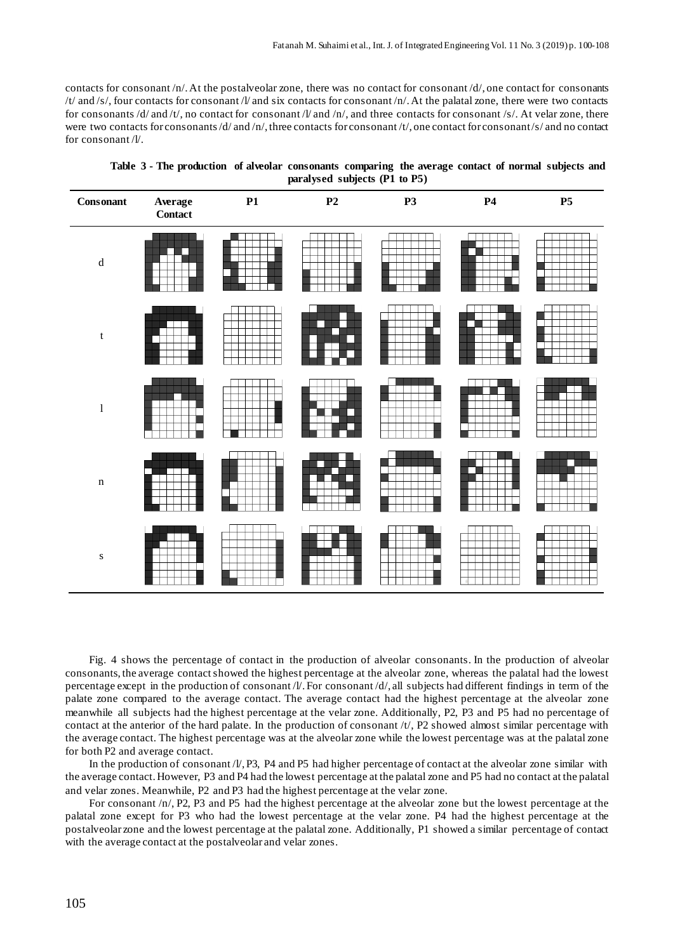contacts for consonant  $/n$ . At the postalveolar zone, there was no contact for consonant  $/d$ , one contact for consonants  $/t$  and  $/s$ , four contacts for consonant  $/t$  and six contacts for consonant  $/n$ . At the palatal zone, there were two contacts for consonants /d/ and /t/, no contact for consonant /l/ and /n/, and three contacts for consonant /s/. At velar zone, there were two contacts for consonants/d/ and /n/, three contacts for consonant /t/, one contact for consonant/s/ and no contact for consonant /l/.

| $\label{eq:consens} \textbf{Consonant}$ | Average<br>Contact | P1 | $\mathbf{P2}$ | <b>P3</b> | P <sub>4</sub> | $\mathbf{P}5$ |
|-----------------------------------------|--------------------|----|---------------|-----------|----------------|---------------|
| ${\bf d}$                               |                    |    |               |           |                |               |
| $\ensuremath{\mathbf{t}}$               |                    |    |               |           | г              |               |
| $\,$ $\,$                               |                    |    |               |           |                |               |
| $\mathbf n$                             |                    |    |               |           |                |               |
| ${\bf S}$                               |                    |    |               |           |                |               |

**Table 3 - The production of alveolar consonants comparing the average contact of normal subjects and paralysed subjects (P1 to P5)**

Fig. 4 shows the percentage of contact in the production of alveolar consonants. In the production of alveolar consonants, the average contactshowed the highest percentage at the alveolar zone, whereas the palatal had the lowest percentage except in the production of consonant /l/.For consonant /d/, all subjects had different findings in term of the palate zone compared to the average contact. The average contact had the highest percentage at the alveolar zone meanwhile all subjects had the highest percentage at the velar zone. Additionally, P2, P3 and P5 had no percentage of contact at the anterior of the hard palate. In the production of consonant /t/, P2 showed almost similar percentage with the average contact. The highest percentage was at the alveolar zone while the lowest percentage was at the palatal zone for both P2 and average contact.

In the production of consonant  $/V$ , P3, P4 and P5 had higher percentage of contact at the alveolar zone similar with the average contact. However, P3 and P4 had the lowest percentage at the palatal zone and P5 had no contact at the palatal and velar zones. Meanwhile, P2 and P3 had the highest percentage at the velar zone.

For consonant /n/, P2, P3 and P5 had the highest percentage at the alveolar zone but the lowest percentage at the palatal zone except for P3 who had the lowest percentage at the velar zone. P4 had the highest percentage at the postalveolar zone and the lowest percentage at the palatal zone. Additionally, P1 showed a similar percentage of contact with the average contact at the postalveolar and velar zones.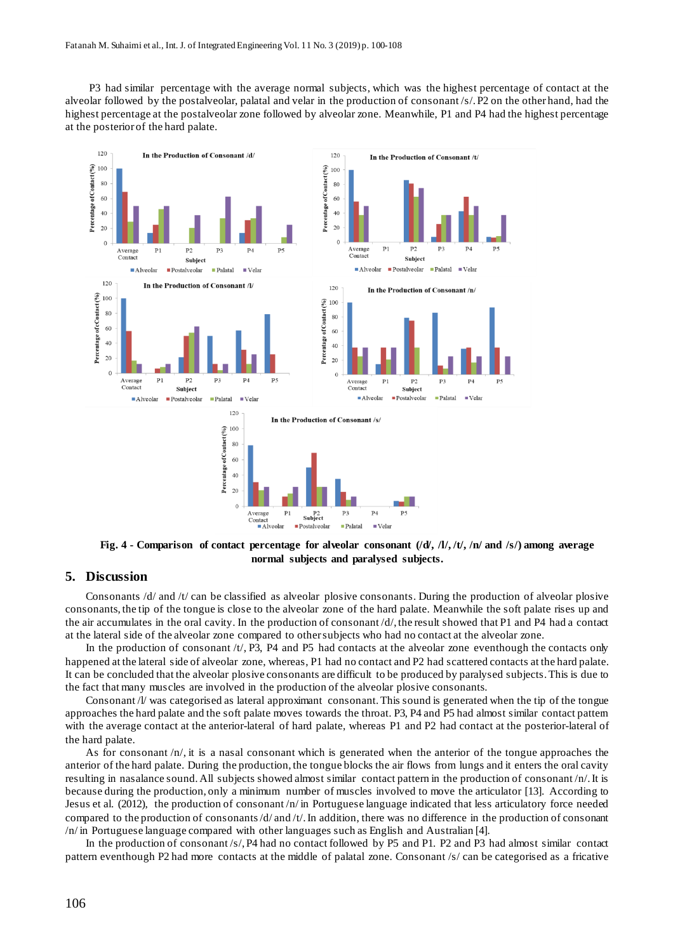P3 had similar percentage with the average normal subjects, which was the highest percentage of contact at the alveolar followed by the postalveolar, palatal and velar in the production of consonant /s/.P2 on the other hand, had the highest percentage at the postalveolar zone followed by alveolar zone. Meanwhile, P1 and P4 had the highest percentage at the posterior of the hard palate.



Fig. 4 - Comparison of contact percentage for alveolar consonant  $(dA, 11, 11, 11)$  and /s/) among average **normal subjects and paralysed subjects.**

## **5. Discussion**

Consonants /d/ and /t/ can be classified as alveolar plosive consonants. During the production of alveolar plosive consonants, the tip of the tongue is close to the alveolar zone of the hard palate. Meanwhile the soft palate rises up and the air accumulates in the oral cavity. In the production of consonant /d/, the result showed that P1 and P4 had a contact at the lateral side of the alveolar zone compared to othersubjects who had no contact at the alveolar zone.

In the production of consonant  $/t/$ , P3, P4 and P5 had contacts at the alveolar zone eventhough the contacts only happened at the lateral side of alveolar zone, whereas, P1 had no contact and P2 had scattered contacts at the hard palate. It can be concluded that the alveolar plosive consonants are difficult to be produced by paralysed subjects.This is due to the fact that many muscles are involved in the production of the alveolar plosive consonants.

Consonant /l/ was categorised as lateral approximant consonant.This sound is generated when the tip of the tongue approaches the hard palate and the soft palate moves towards the throat. P3, P4 and P5 had almost similar contact pattern with the average contact at the anterior-lateral of hard palate, whereas P1 and P2 had contact at the posterior-lateral of the hard palate.

As for consonant  $/n$ , it is a nasal consonant which is generated when the anterior of the tongue approaches the anterior of the hard palate. During the production, the tongue blocks the air flows from lungs and it enters the oral cavity resulting in nasalance sound. All subjects showed almost similar contact pattern in the production of consonant /n/.It is because during the production, only a minimum number of muscles involved to move the articulator [13]. According to Jesus et al. (2012), the production of consonant /n/ in Portuguese language indicated that less articulatory force needed compared to the production of consonants/ $d$ / and /t/. In addition, there was no difference in the production of consonant /n/ in Portuguese language compared with other languages such as English and Australian [4].

In the production of consonant /s/, P4 had no contact followed by P5 and P1. P2 and P3 had almost similar contact pattern eventhough P2 had more contacts at the middle of palatal zone. Consonant /s/ can be categorised as a fricative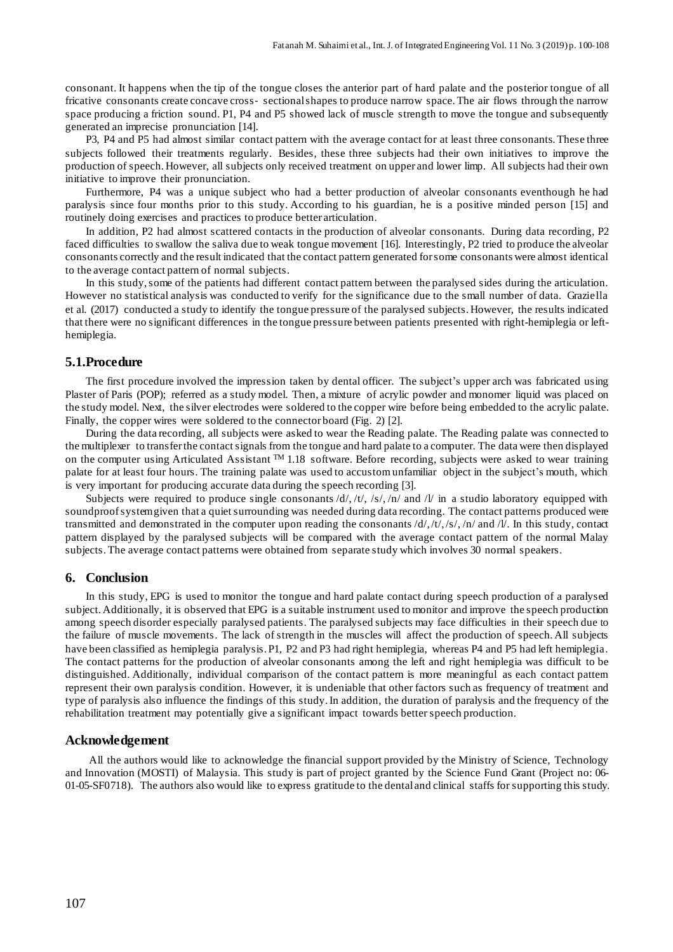consonant. It happens when the tip of the tongue closes the anterior part of hard palate and the posterior tongue of all fricative consonants create concave cross‐ sectionalshapes to produce narrow space.The air flows through the narrow space producing a friction sound. P1, P4 and P5 showed lack of muscle strength to move the tongue and subsequently generated an imprecise pronunciation [14].

P3, P4 and P5 had almost similar contact pattern with the average contact for at least three consonants.These three subjects followed their treatments regularly. Besides, these three subjects had their own initiatives to improve the production of speech.However, all subjects only received treatment on upper and lower limp. All subjects had their own initiative to improve their pronunciation.

Furthermore, P4 was a unique subject who had a better production of alveolar consonants eventhough he had paralysis since four months prior to this study. According to his guardian, he is a positive minded person [15] and routinely doing exercises and practices to produce better articulation.

In addition, P2 had almost scattered contacts in the production of alveolar consonants. During data recording, P2 faced difficulties to swallow the saliva due to weak tongue movement [16]. Interestingly, P2 tried to produce the alveolar consonants correctly and the result indicated that the contact pattern generated forsome consonants were almost identical to the average contact pattern of normal subjects.

In this study,some of the patients had different contact pattern between the paralysed sides during the articulation. However no statistical analysis was conducted to verify for the significance due to the small number of data. Graziella et al. (2017) conducted a study to identify the tongue pressure of the paralysed subjects. However, the results indicated that there were no significant differences in the tongue pressure between patients presented with right-hemiplegia or lefthemiplegia.

#### **5.1.Procedure**

The first procedure involved the impression taken by dental officer. The subject's upper arch was fabricated using Plaster of Paris (POP); referred as a study model. Then, a mixture of acrylic powder and monomer liquid was placed on the study model. Next, the silver electrodes were soldered to the copper wire before being embedded to the acrylic palate. Finally, the copper wires were soldered to the connector board (Fig. 2) [2].

During the data recording, all subjects were asked to wear the Reading palate. The Reading palate was connected to the multiplexer to transferthe contactsignals from the tongue and hard palate to a computer. The data were then displayed on the computer using Articulated Assistant  $TM$  1.18 software. Before recording, subjects were asked to wear training palate for at least four hours. The training palate was used to accustom unfamiliar object in the subject's mouth, which is very important for producing accurate data during the speech recording [3].

Subjects were required to produce single consonants  $/d/$ ,  $/t/$ ,  $/s/$ ,  $/n/$  and  $/t/$  in a studio laboratory equipped with soundproof systemgiven that a quiet surrounding was needed during data recording. The contact patterns produced were transmitted and demonstrated in the computer upon reading the consonants /d/,/t/,/s/, /n/ and /l/. In this study, contact pattern displayed by the paralysed subjects will be compared with the average contact pattern of the normal Malay subjects.The average contact patterns were obtained from separate study which involves 30 normal speakers.

#### **6. Conclusion**

In this study, EPG is used to monitor the tongue and hard palate contact during speech production of a paralysed subject. Additionally, it is observed that EPG is a suitable instrument used to monitor and improve the speech production among speech disorder especially paralysed patients. The paralysed subjects may face difficulties in their speech due to the failure of muscle movements. The lack of strength in the muscles will affect the production of speech. All subjects have been classified as hemiplegia paralysis. P1, P2 and P3 had right hemiplegia, whereas P4 and P5 had left hemiplegia. The contact patterns for the production of alveolar consonants among the left and right hemiplegia was difficult to be distinguished. Additionally, individual comparison of the contact pattern is more meaningful as each contact pattern represent their own paralysis condition. However, it is undeniable that other factors such as frequency of treatment and type of paralysis also influence the findings of this study.In addition, the duration of paralysis and the frequency of the rehabilitation treatment may potentially give a significant impact towards better speech production.

# **Acknowledgement**

All the authors would like to acknowledge the financial support provided by the Ministry of Science, Technology and Innovation (MOSTI) of Malaysia. This study is part of project granted by the Science Fund Grant (Project no: 06- 01-05-SF0718). The authors also would like to express gratitude to the dental and clinical staffs for supporting this study.